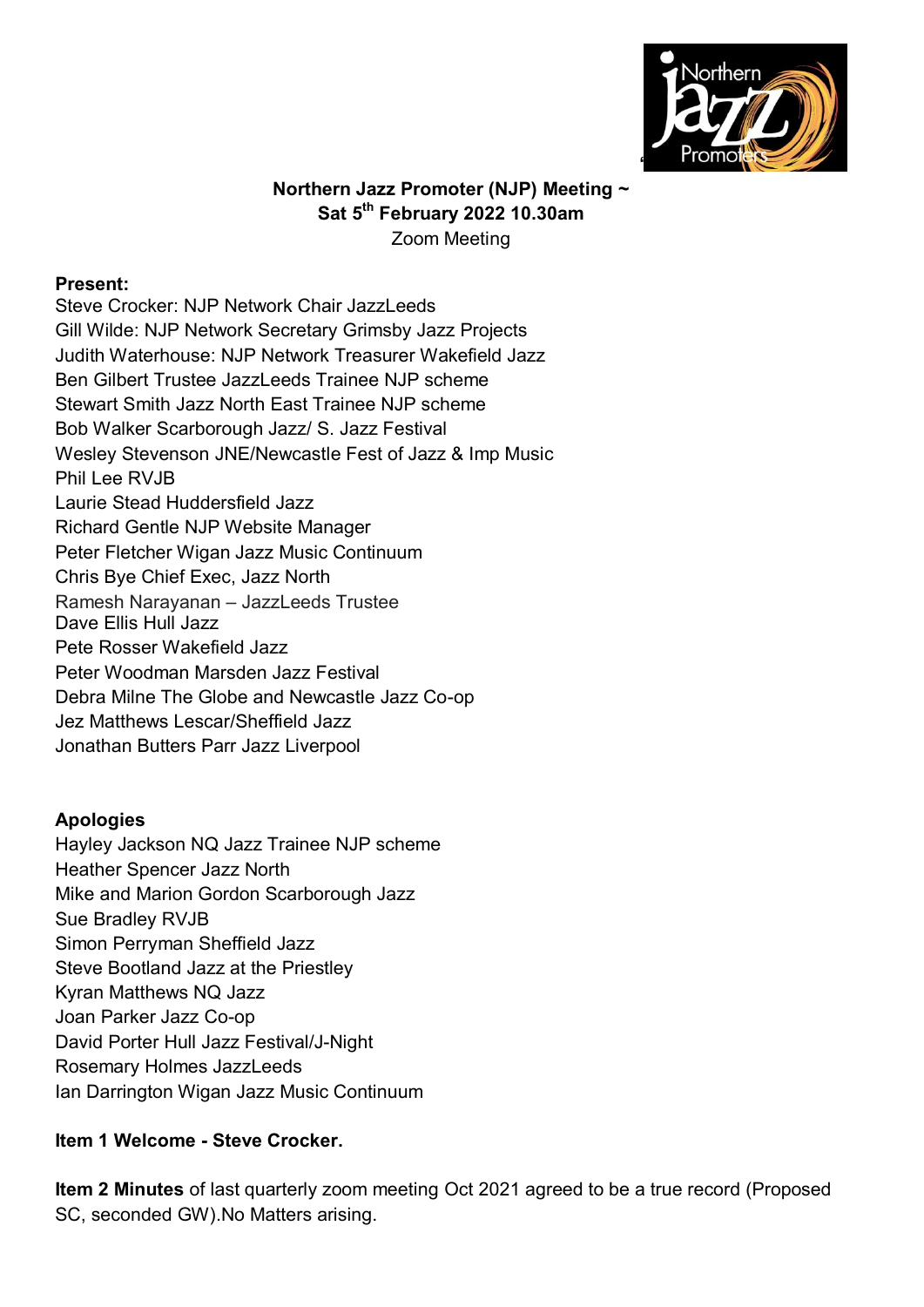

### **Northern Jazz Promoter (NJP) Meeting ~ Sat 5 th February 2022 10.30am** Zoom Meeting

#### **Present:**

Steve Crocker: NJP Network Chair JazzLeeds Gill Wilde: NJP Network Secretary Grimsby Jazz Projects Judith Waterhouse: NJP Network Treasurer Wakefield Jazz Ben Gilbert Trustee JazzLeeds Trainee NJP scheme Stewart Smith Jazz North East Trainee NJP scheme Bob Walker Scarborough Jazz/ S. Jazz Festival Wesley Stevenson JNE/Newcastle Fest of Jazz & Imp Music Phil Lee RVJB Laurie Stead Huddersfield Jazz Richard Gentle NJP Website Manager Peter Fletcher Wigan Jazz Music Continuum Chris Bye Chief Exec, Jazz North Ramesh Narayanan – JazzLeeds Trustee Dave Ellis Hull Jazz Pete Rosser Wakefield Jazz Peter Woodman Marsden Jazz Festival Debra Milne The Globe and Newcastle Jazz Co-op Jez Matthews Lescar/Sheffield Jazz Jonathan Butters Parr Jazz Liverpool

### **Apologies**

Hayley Jackson NQ Jazz Trainee NJP scheme Heather Spencer Jazz North Mike and Marion Gordon Scarborough Jazz Sue Bradley RVJB Simon Perryman Sheffield Jazz Steve Bootland Jazz at the Priestley Kyran Matthews NQ Jazz Joan Parker Jazz Co-op David Porter Hull Jazz Festival/J-Night Rosemary Holmes JazzLeeds Ian Darrington Wigan Jazz Music Continuum

### **Item 1 Welcome - Steve Crocker.**

**Item 2 Minutes** of last quarterly zoom meeting Oct 2021 agreed to be a true record (Proposed SC, seconded GW).No Matters arising.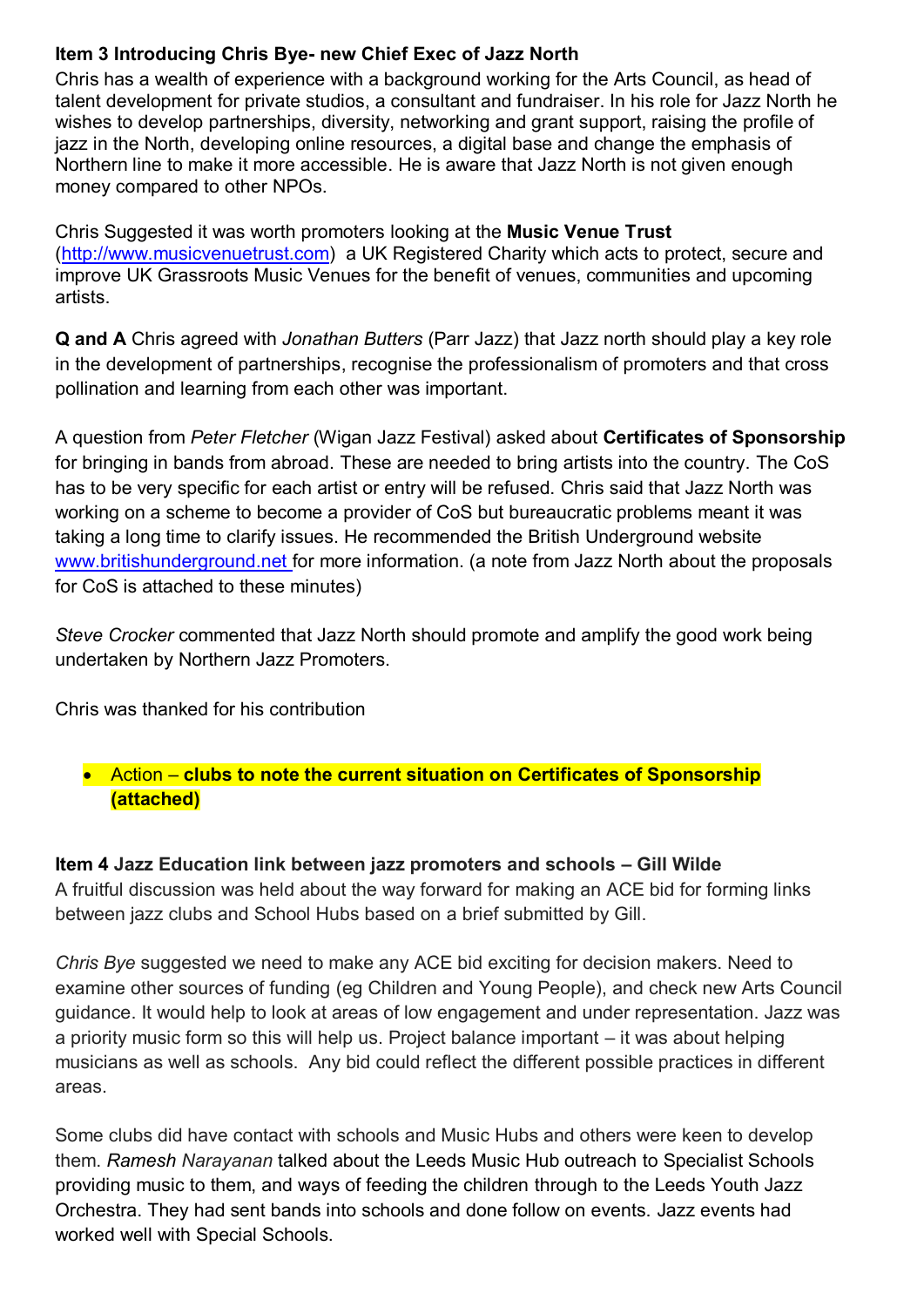# **Item 3 Introducing Chris Bye- new Chief Exec of Jazz North**

Chris has a wealth of experience with a background working for the Arts Council, as head of talent development for private studios, a consultant and fundraiser. In his role for Jazz North he wishes to develop partnerships, diversity, networking and grant support, raising the profile of jazz in the North, developing online resources, a digital base and change the emphasis of Northern line to make it more accessible. He is aware that Jazz North is not given enough money compared to other NPOs.

Chris Suggested it was worth promoters looking at the **Music Venue Trust** [\(http://www.musicvenuetrust.com\)](http://www.musicvenuetrust.com/) a UK Registered Charity which acts to protect, secure and improve UK Grassroots Music Venues for the benefit of venues, communities and upcoming artists.

**Q and A** Chris agreed with *Jonathan Butters* (Parr Jazz) that Jazz north should play a key role in the development of partnerships, recognise the professionalism of promoters and that cross pollination and learning from each other was important.

A question from *Peter Fletcher* (Wigan Jazz Festival) asked about **Certificates of Sponsorship** for bringing in bands from abroad. These are needed to bring artists into the country. The CoS has to be very specific for each artist or entry will be refused. Chris said that Jazz North was working on a scheme to become a provider of CoS but bureaucratic problems meant it was taking a long time to clarify issues. He recommended the British Underground website [www.britishunderground.net](https://r.search.yahoo.com/_ylt=AwrE1xQChgJiT0sA1jpXNyoA;_ylu=Y29sbwNiZjEEcG9zAzIEdnRpZAMEc2VjA3Ny/RV=2/RE=1644361346/RO=10/RU=https%3a%2f%2fwww.britishunderground.net%2f/RK=2/RS=1bNVjirgVO7qgf.FiOsSCAlofII-) for more information. (a note from Jazz North about the proposals for CoS is attached to these minutes)

*Steve Crocker* commented that Jazz North should promote and amplify the good work being undertaken by Northern Jazz Promoters.

Chris was thanked for his contribution

## Action – **clubs to note the current situation on Certificates of Sponsorship (attached)**

## **Item 4 Jazz Education link between jazz promoters and schools – Gill Wilde**

A fruitful discussion was held about the way forward for making an ACE bid for forming links between jazz clubs and School Hubs based on a brief submitted by Gill.

*Chris Bye* suggested we need to make any ACE bid exciting for decision makers. Need to examine other sources of funding (eg Children and Young People), and check new Arts Council guidance. It would help to look at areas of low engagement and under representation. Jazz was a priority music form so this will help us. Project balance important – it was about helping musicians as well as schools. Any bid could reflect the different possible practices in different areas.

Some clubs did have contact with schools and Music Hubs and others were keen to develop them. *Ramesh Narayanan* talked about the Leeds Music Hub outreach to Specialist Schools providing music to them, and ways of feeding the children through to the Leeds Youth Jazz Orchestra. They had sent bands into schools and done follow on events. Jazz events had worked well with Special Schools.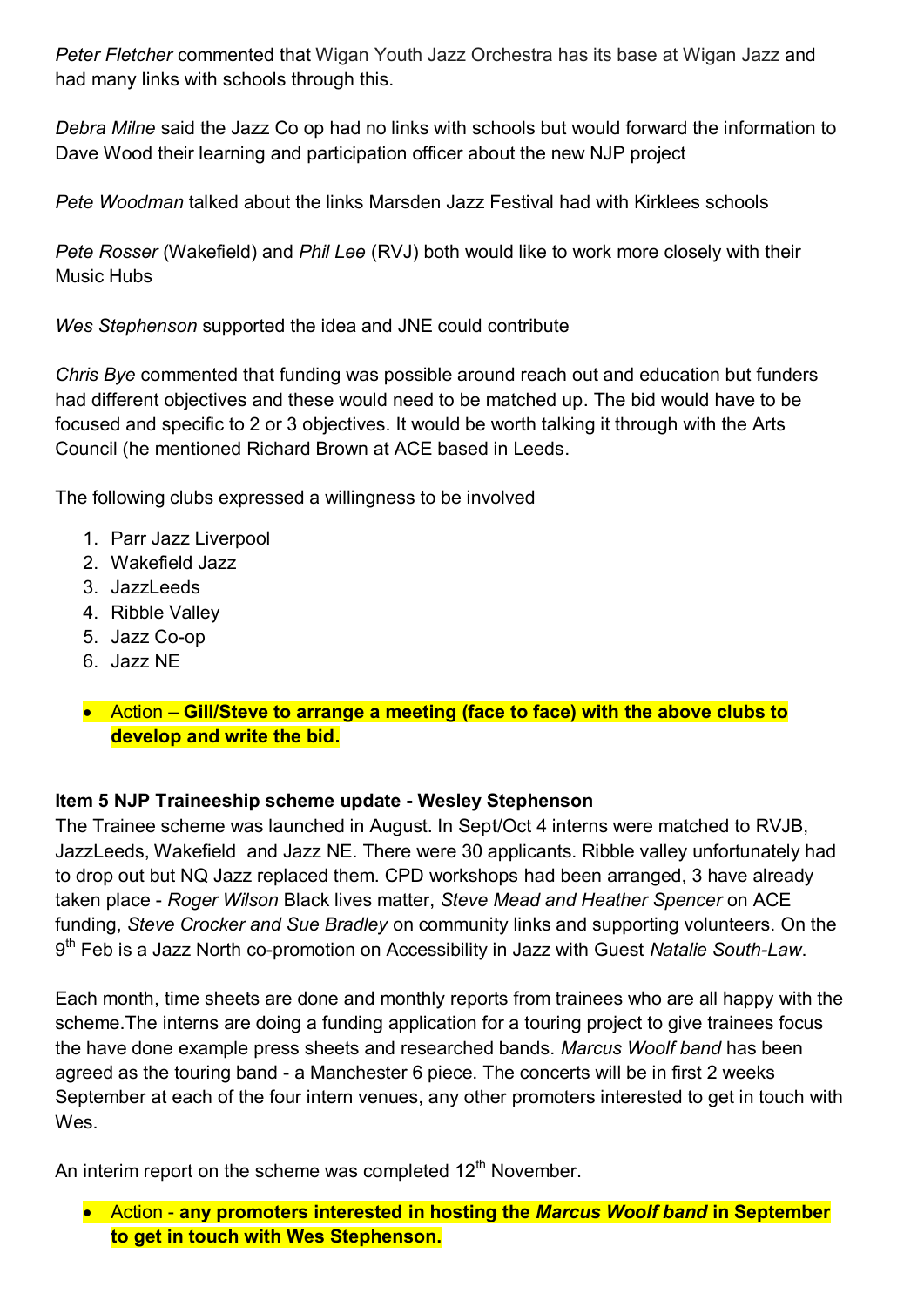*Peter Fletcher* commented that Wigan Youth Jazz Orchestra has its base at Wigan Jazz and had many links with schools through this.

*Debra Milne* said the Jazz Co op had no links with schools but would forward the information to Dave Wood their learning and participation officer about the new NJP project

*Pete Woodman* talked about the links Marsden Jazz Festival had with Kirklees schools

*Pete Rosser* (Wakefield) and *Phil Lee* (RVJ) both would like to work more closely with their Music Hubs

*Wes Stephenson* supported the idea and JNE could contribute

*Chris Bye* commented that funding was possible around reach out and education but funders had different objectives and these would need to be matched up. The bid would have to be focused and specific to 2 or 3 objectives. It would be worth talking it through with the Arts Council (he mentioned Richard Brown at ACE based in Leeds.

The following clubs expressed a willingness to be involved

- 1. Parr Jazz Liverpool
- 2. Wakefield Jazz
- 3. JazzLeeds
- 4. Ribble Valley
- 5. Jazz Co-op
- 6. Jazz NE

### Action – **Gill/Steve to arrange a meeting (face to face) with the above clubs to develop and write the bid.**

### **Item 5 NJP Traineeship scheme update - Wesley Stephenson**

The Trainee scheme was launched in August. In Sept/Oct 4 interns were matched to RVJB, JazzLeeds, Wakefield and Jazz NE. There were 30 applicants. Ribble valley unfortunately had to drop out but NQ Jazz replaced them. CPD workshops had been arranged, 3 have already taken place - *Roger Wilson* Black lives matter, *Steve Mead and Heather Spencer* on ACE funding, *Steve Crocker and Sue Bradley* on community links and supporting volunteers. On the 9 th Feb is a Jazz North co-promotion on Accessibility in Jazz with Guest *Natalie South-Law*.

Each month, time sheets are done and monthly reports from trainees who are all happy with the scheme.The interns are doing a funding application for a touring project to give trainees focus the have done example press sheets and researched bands. *Marcus Woolf band* has been agreed as the touring band - a Manchester 6 piece. The concerts will be in first 2 weeks September at each of the four intern venues, any other promoters interested to get in touch with Wes.

An interim report on the scheme was completed  $12<sup>th</sup>$  November.

 Action - **any promoters interested in hosting the** *Marcus Woolf band* **in September to get in touch with Wes Stephenson.**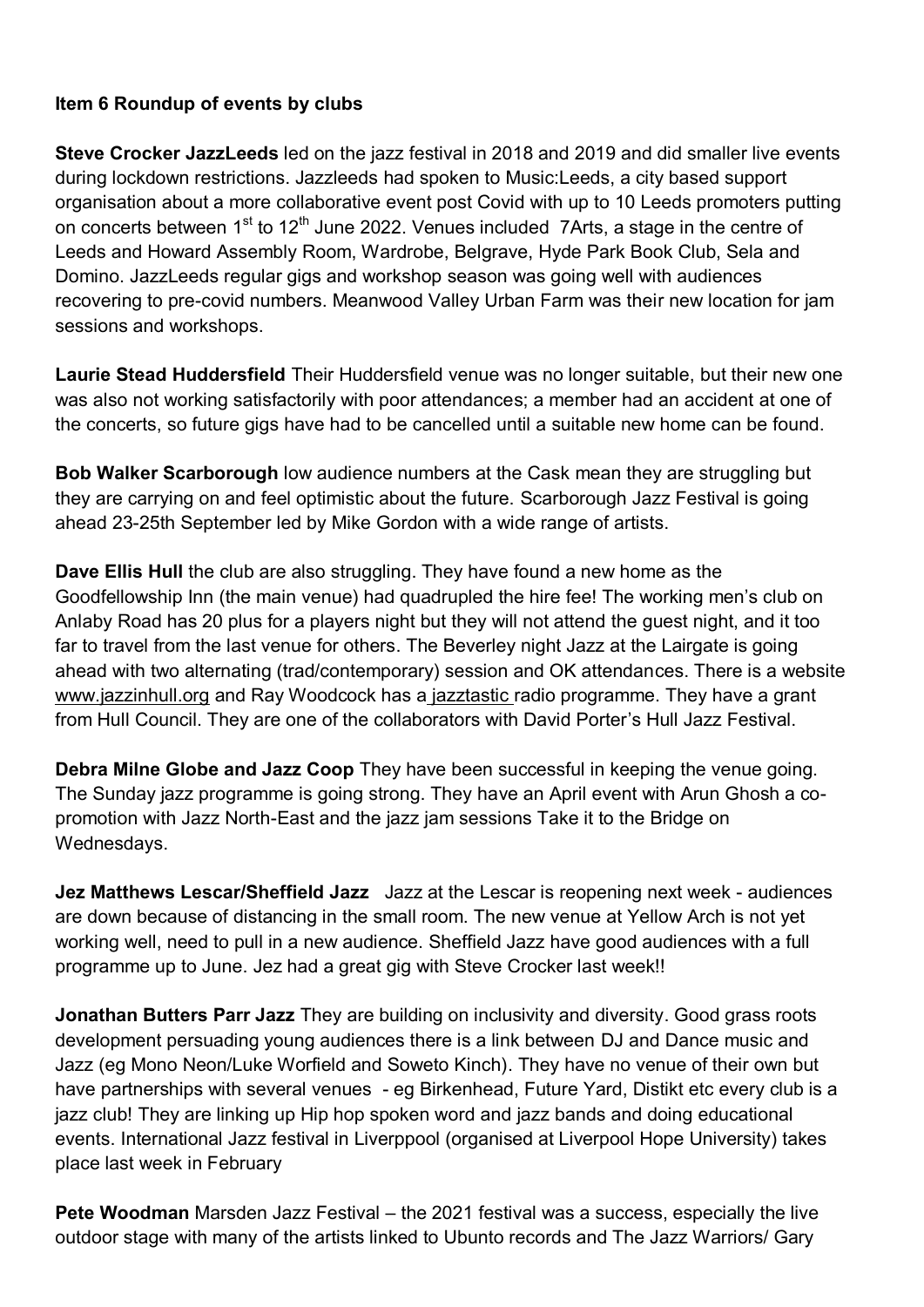### **Item 6 Roundup of events by clubs**

**Steve Crocker JazzLeeds** led on the jazz festival in 2018 and 2019 and did smaller live events during lockdown restrictions. Jazzleeds had spoken to Music:Leeds, a city based support organisation about a more collaborative event post Covid with up to 10 Leeds promoters putting on concerts between 1 $^{\rm st}$  to 12 $^{\rm th}$  June 2022. Venues included  $\,$  7Arts, a stage in the centre of Leeds and Howard Assembly Room, Wardrobe, Belgrave, Hyde Park Book Club, Sela and Domino. JazzLeeds regular gigs and workshop season was going well with audiences recovering to pre-covid numbers. Meanwood Valley Urban Farm was their new location for jam sessions and workshops.

**Laurie Stead Huddersfield** Their Huddersfield venue was no longer suitable, but their new one was also not working satisfactorily with poor attendances; a member had an accident at one of the concerts, so future gigs have had to be cancelled until a suitable new home can be found.

**Bob Walker Scarborough** low audience numbers at the Cask mean they are struggling but they are carrying on and feel optimistic about the future. Scarborough Jazz Festival is going ahead 23-25th September led by Mike Gordon with a wide range of artists.

**Dave Ellis Hull** the club are also struggling. They have found a new home as the Goodfellowship Inn (the main venue) had quadrupled the hire fee! The working men's club on Anlaby Road has 20 plus for a players night but they will not attend the guest night, and it too far to travel from the last venue for others. The Beverley night Jazz at the Lairgate is going ahead with two alternating (trad/contemporary) session and OK attendances. There is a website www.jazzinhull.org and Ray Woodcock has a jazztastic radio programme. They have a grant from Hull Council. They are one of the collaborators with David Porter's Hull Jazz Festival.

**Debra Milne Globe and Jazz Coop** They have been successful in keeping the venue going. The Sunday jazz programme is going strong. They have an April event with Arun Ghosh a copromotion with Jazz North-East and the jazz jam sessions Take it to the Bridge on Wednesdays.

**Jez Matthews Lescar/Sheffield Jazz** Jazz at the Lescar is reopening next week - audiences are down because of distancing in the small room. The new venue at Yellow Arch is not yet working well, need to pull in a new audience. Sheffield Jazz have good audiences with a full programme up to June. Jez had a great gig with Steve Crocker last week!!

**Jonathan Butters Parr Jazz** They are building on inclusivity and diversity. Good grass roots development persuading young audiences there is a link between DJ and Dance music and Jazz (eg Mono Neon/Luke Worfield and Soweto Kinch). They have no venue of their own but have partnerships with several venues - eg Birkenhead, Future Yard, Distikt etc every club is a jazz club! They are linking up Hip hop spoken word and jazz bands and doing educational events. International Jazz festival in Liverppool (organised at Liverpool Hope University) takes place last week in February

**Pete Woodman** Marsden Jazz Festival – the 2021 festival was a success, especially the live outdoor stage with many of the artists linked to Ubunto records and The Jazz Warriors/ Gary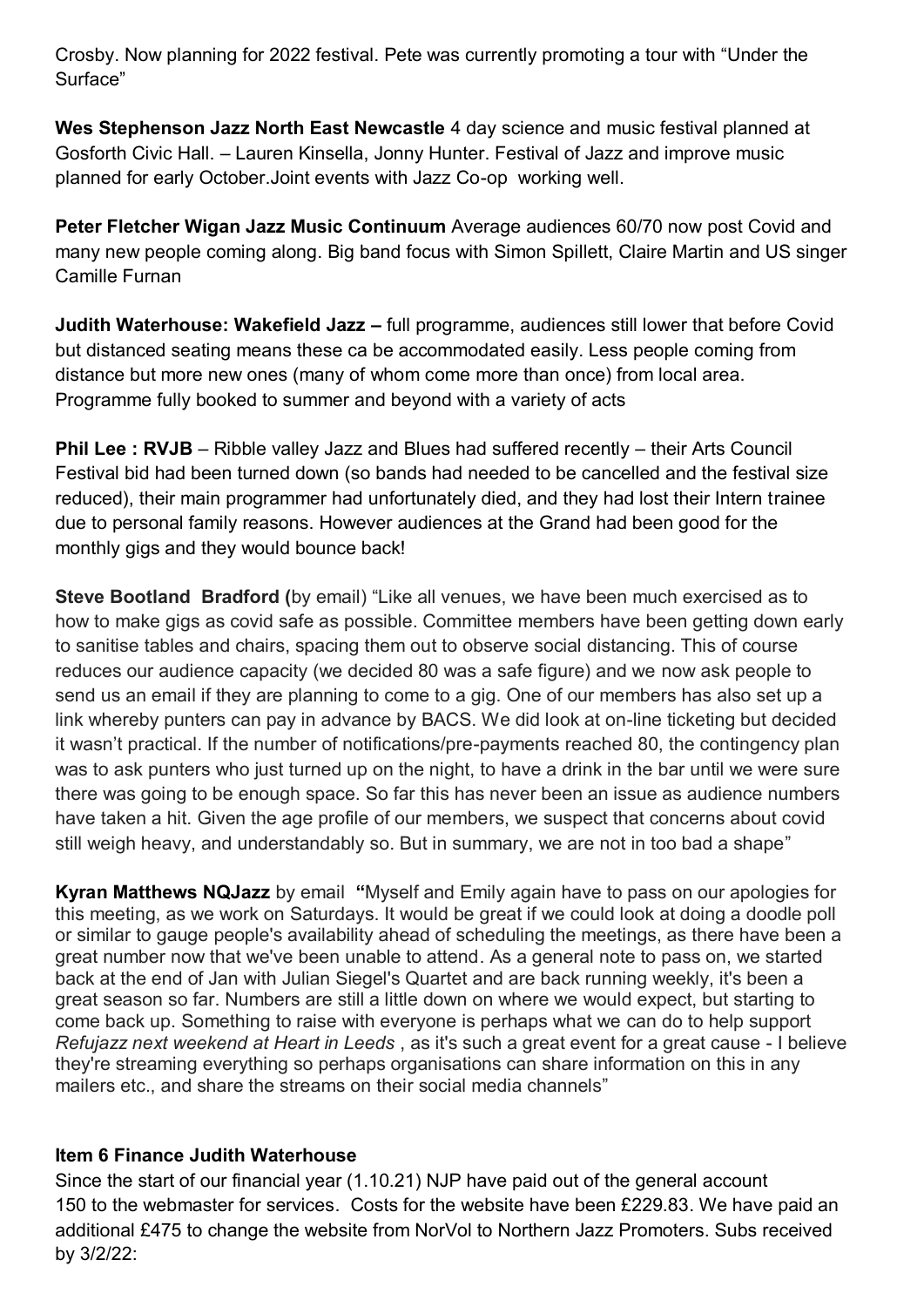Crosby. Now planning for 2022 festival. Pete was currently promoting a tour with "Under the Surface"

**Wes Stephenson Jazz North East Newcastle** 4 day science and music festival planned at Gosforth Civic Hall. – Lauren Kinsella, Jonny Hunter. Festival of Jazz and improve music planned for early October.Joint events with Jazz Co-op working well.

**Peter Fletcher Wigan Jazz Music Continuum** Average audiences 60/70 now post Covid and many new people coming along. Big band focus with Simon Spillett, Claire Martin and US singer Camille Furnan

**Judith Waterhouse: Wakefield Jazz –** full programme, audiences still lower that before Covid but distanced seating means these ca be accommodated easily. Less people coming from distance but more new ones (many of whom come more than once) from local area. Programme fully booked to summer and beyond with a variety of acts

**Phil Lee : RVJB** – Ribble valley Jazz and Blues had suffered recently – their Arts Council Festival bid had been turned down (so bands had needed to be cancelled and the festival size reduced), their main programmer had unfortunately died, and they had lost their Intern trainee due to personal family reasons. However audiences at the Grand had been good for the monthly gigs and they would bounce back!

**Steve Bootland Bradford (**by email) "Like all venues, we have been much exercised as to how to make gigs as covid safe as possible. Committee members have been getting down early to sanitise tables and chairs, spacing them out to observe social distancing. This of course reduces our audience capacity (we decided 80 was a safe figure) and we now ask people to send us an email if they are planning to come to a gig. One of our members has also set up a link whereby punters can pay in advance by BACS. We did look at on-line ticketing but decided it wasn't practical. If the number of notifications/pre-payments reached 80, the contingency plan was to ask punters who just turned up on the night, to have a drink in the bar until we were sure there was going to be enough space. So far this has never been an issue as audience numbers have taken a hit. Given the age profile of our members, we suspect that concerns about covid still weigh heavy, and understandably so. But in summary, we are not in too bad a shape"

**Kyran Matthews NQJazz** by email **"**Myself and Emily again have to pass on our apologies for this meeting, as we work on Saturdays. It would be great if we could look at doing a doodle poll or similar to gauge people's availability ahead of scheduling the meetings, as there have been a great number now that we've been unable to attend. As a general note to pass on, we started back at the end of Jan with Julian Siegel's Quartet and are back running weekly, it's been a great season so far. Numbers are still a little down on where we would expect, but starting to come back up. Something to raise with everyone is perhaps what we can do to help support *Refujazz next weekend at Heart in Leeds* , as it's such a great event for a great cause - I believe they're streaming everything so perhaps organisations can share information on this in any mailers etc., and share the streams on their social media channels"

### **Item 6 Finance Judith Waterhouse**

Since the start of our financial year (1.10.21) NJP have paid out of the general account 150 to the webmaster for services. Costs for the website have been £229.83. We have paid an additional £475 to change the website from NorVol to Northern Jazz Promoters. Subs received by 3/2/22: